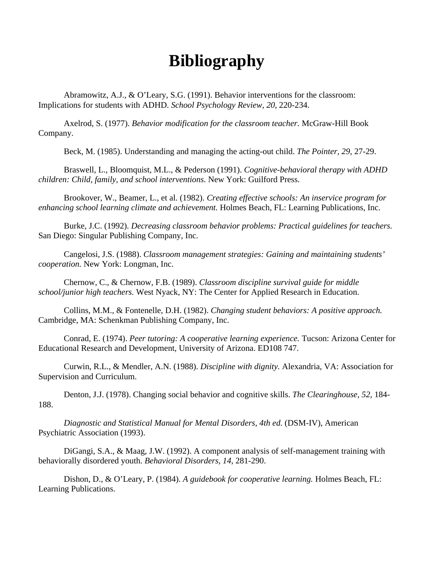## **Bibliography**

Abramowitz, A.J., & O'Leary, S.G. (1991). Behavior interventions for the classroom: Implications for students with ADHD. *School Psychology Review, 20,* 220-234.

Axelrod, S. (1977). *Behavior modification for the classroom teacher.* McGraw-Hill Book Company.

Beck, M. (1985). Understanding and managing the acting-out child. *The Pointer, 29,* 27-29.

Braswell, L., Bloomquist, M.L., & Pederson (1991). *Cognitive-behavioral therapy with ADHD children: Child, family, and school interventions.* New York: Guilford Press.

Brookover, W., Beamer, L., et al. (1982). *Creating effective schools: An inservice program for enhancing school learning climate and achievement.* Holmes Beach, FL: Learning Publications, Inc.

Burke, J.C. (1992). *Decreasing classroom behavior problems: Practical guidelines for teachers.* San Diego: Singular Publishing Company, Inc.

Cangelosi, J.S. (1988). *Classroom management strategies: Gaining and maintaining students' cooperation.* New York: Longman, Inc.

Chernow, C., & Chernow, F.B. (1989). *Classroom discipline survival guide for middle school/junior high teachers.* West Nyack, NY: The Center for Applied Research in Education.

Collins, M.M., & Fontenelle, D.H. (1982). *Changing student behaviors: A positive approach.* Cambridge, MA: Schenkman Publishing Company, Inc.

Conrad, E. (1974). *Peer tutoring: A cooperative learning experience.* Tucson: Arizona Center for Educational Research and Development, University of Arizona. ED108 747.

Curwin, R.L., & Mendler, A.N. (1988). *Discipline with dignity.* Alexandria, VA: Association for Supervision and Curriculum.

Denton, J.J. (1978). Changing social behavior and cognitive skills. *The Clearinghouse, 52,* 184- 188.

*Diagnostic and Statistical Manual for Mental Disorders, 4th ed.* (DSM-IV), American Psychiatric Association (1993).

DiGangi, S.A., & Maag, J.W. (1992). A component analysis of self-management training with behaviorally disordered youth. *Behavioral Disorders, 14,* 281-290.

Dishon, D., & O'Leary, P. (1984). *A guidebook for cooperative learning.* Holmes Beach, FL: Learning Publications.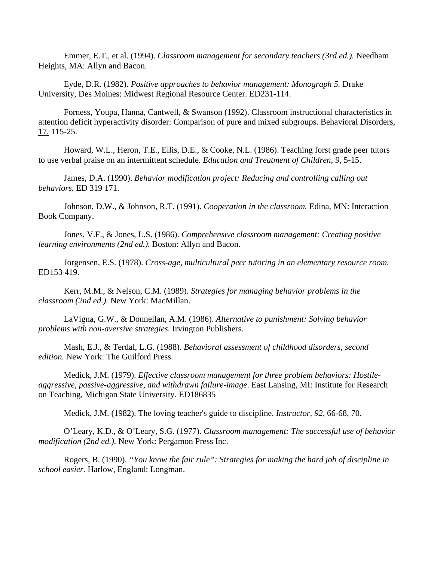Emmer, E.T., et al. (1994). *Classroom management for secondary teachers (3rd ed.).* Needham Heights, MA: Allyn and Bacon.

Eyde, D.R. (1982). *Positive approaches to behavior management: Monograph 5.* Drake University, Des Moines: Midwest Regional Resource Center. ED231-114.

Forness, Youpa, Hanna, Cantwell, & Swanson (1992). Classroom instructional characteristics in attention deficit hyperactivity disorder: Comparison of pure and mixed subgroups. Behavioral Disorders, 17, 115-25.

Howard, W.L., Heron, T.E., Ellis, D.E., & Cooke, N.L. (1986). Teaching forst grade peer tutors to use verbal praise on an intermittent schedule. *Education and Treatment of Children, 9,* 5-15.

James, D.A. (1990). *Behavior modification project: Reducing and controlling calling out behaviors.* ED 319 171.

Johnson, D.W., & Johnson, R.T. (1991). *Cooperation in the classroom.* Edina, MN: Interaction Book Company.

Jones, V.F., & Jones, L.S. (1986). *Comprehensive classroom management: Creating positive learning environments (2nd ed.).* Boston: Allyn and Bacon.

Jorgensen, E.S. (1978). *Cross-age, multicultural peer tutoring in an elementary resource room.* ED153 419.

Kerr, M.M., & Nelson, C.M. (1989). *Strategies for managing behavior problems in the classroom (2nd ed.).* New York: MacMillan.

LaVigna, G.W., & Donnellan, A.M. (1986). *Alternative to punishment: Solving behavior problems with non-aversive strategies.* Irvington Publishers.

Mash, E.J., & Terdal, L.G. (1988). *Behavioral assessment of childhood disorders, second edition.* New York: The Guilford Press.

Medick, J.M. (1979). *Effective classroom management for three problem behaviors: Hostileaggressive, passive-aggressive, and withdrawn failure-image*. East Lansing, MI: Institute for Research on Teaching, Michigan State University. ED186835

Medick, J.M. (1982). The loving teacher's guide to discipline. *Instructor, 92,* 66-68, 70.

O'Leary, K.D., & O'Leary, S.G. (1977). *Classroom management: The successful use of behavior modification (2nd ed.).* New York: Pergamon Press Inc.

Rogers, B. (1990). *"You know the fair rule": Strategies for making the hard job of discipline in school easier.* Harlow, England: Longman.